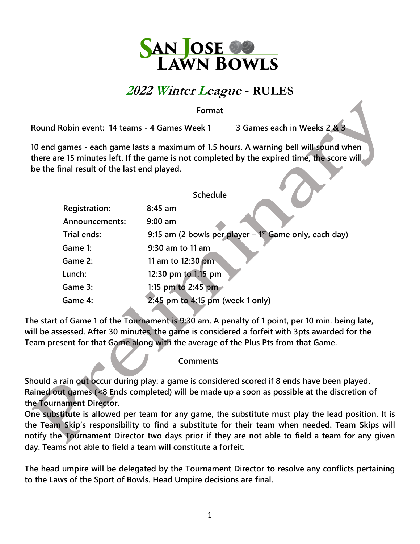

## **<sup>2022</sup> Winter League - RULES**

**Format**

**Round Robin event: 14 teams - 4 Games Week 1 3 Games each in Weeks 2 & 3**

**10 end games - each game lasts a maximum of 1.5 hours. A warning bell will sound when there are 15 minutes left. If the game is not completed by the expired time, the score will be the final result of the last end played.**

|                      | <b>Schedule</b>                                            |
|----------------------|------------------------------------------------------------|
| <b>Registration:</b> | $8:45$ am                                                  |
| Announcements:       | $9:00$ am                                                  |
| Trial ends:          | 9:15 am (2 bowls per player $-1^{st}$ Game only, each day) |
| Game 1:              | 9:30 am to 11 am                                           |
| Game 2:              | 11 am to 12:30 pm                                          |
| Lunch:               | 12:30 pm to 1:15 pm                                        |
| Game 3:              | 1:15 pm to 2:45 pm                                         |
| Game 4:              | 2:45 pm to 4:15 pm (week 1 only)                           |

**The start of Game 1 of the Tournament is 9:30 am. A penalty of 1 point, per 10 min. being late, will be assessed. After 30 minutes, the game is considered a forfeit with 3pts awarded for the Team present for that Game along with the average of the Plus Pts from that Game.** 

## **Comments**

**Should a rain out occur during play: a game is considered scored if 8 ends have been played. Rained out games (<8 Ends completed) will be made up a soon as possible at the discretion of the Tournament Director.** 

**One substitute is allowed per team for any game, the substitute must play the lead position. It is the Team Skip's responsibility to find a substitute for their team when needed. Team Skips will notify the Tournament Director two days prior if they are not able to field a team for any given day. Teams not able to field a team will constitute a forfeit.** 

**The head umpire will be delegated by the Tournament Director to resolve any conflicts pertaining to the Laws of the Sport of Bowls. Head Umpire decisions are final.**